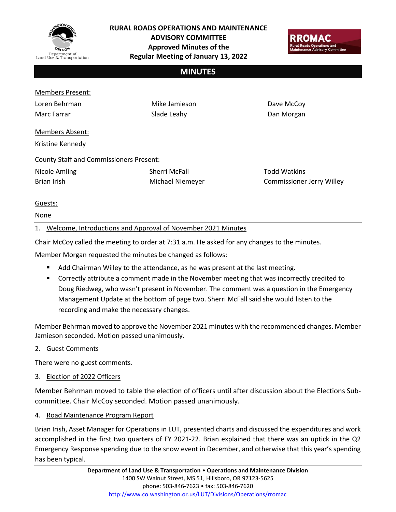

**RURAL ROADS OPERATIONS AND MAINTENANCE** 

**ADVISORY COMMITTEE Approved Minutes of the Regular Meeting of January 13, 2022**



## **MINUTES**

### Members Present:

Loren Behrman Marc Farrar

Mike Jamieson Slade Leahy

Dave McCoy Dan Morgan

# Members Absent:

Kristine Kennedy

## County Staff and Commissioners Present:

Nicole Amling Brian Irish

Sherri McFall Michael Niemeyer Todd Watkins Commissioner Jerry Willey

## Guests:

None

## 1. Welcome, Introductions and Approval of November 2021 Minutes

Chair McCoy called the meeting to order at 7:31 a.m. He asked for any changes to the minutes.

Member Morgan requested the minutes be changed as follows:

- Add Chairman Willey to the attendance, as he was present at the last meeting.
- Correctly attribute a comment made in the November meeting that was incorrectly credited to Doug Riedweg, who wasn't present in November. The comment was a question in the Emergency Management Update at the bottom of page two. Sherri McFall said she would listen to the recording and make the necessary changes.

Member Behrman moved to approve the November 2021 minutes with the recommended changes. Member Jamieson seconded. Motion passed unanimously.

2. Guest Comments

There were no guest comments.

3. Election of 2022 Officers

Member Behrman moved to table the election of officers until after discussion about the Elections Subcommittee. Chair McCoy seconded. Motion passed unanimously.

4. Road Maintenance Program Report

Brian Irish, Asset Manager for Operations in LUT, presented charts and discussed the expenditures and work accomplished in the first two quarters of FY 2021-22. Brian explained that there was an uptick in the Q2 Emergency Response spending due to the snow event in December, and otherwise that this year's spending has been typical.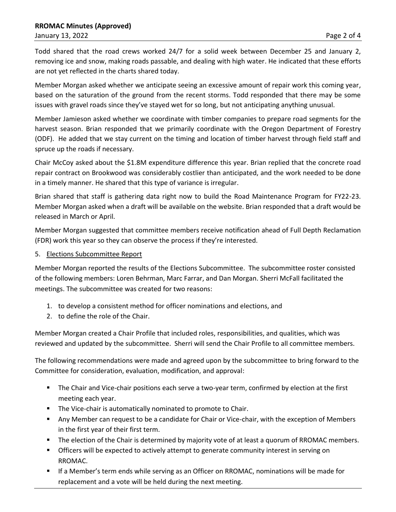Todd shared that the road crews worked 24/7 for a solid week between December 25 and January 2, removing ice and snow, making roads passable, and dealing with high water. He indicated that these efforts are not yet reflected in the charts shared today.

Member Morgan asked whether we anticipate seeing an excessive amount of repair work this coming year, based on the saturation of the ground from the recent storms. Todd responded that there may be some issues with gravel roads since they've stayed wet for so long, but not anticipating anything unusual.

Member Jamieson asked whether we coordinate with timber companies to prepare road segments for the harvest season. Brian responded that we primarily coordinate with the Oregon Department of Forestry (ODF). He added that we stay current on the timing and location of timber harvest through field staff and spruce up the roads if necessary.

Chair McCoy asked about the \$1.8M expenditure difference this year. Brian replied that the concrete road repair contract on Brookwood was considerably costlier than anticipated, and the work needed to be done in a timely manner. He shared that this type of variance is irregular.

Brian shared that staff is gathering data right now to build the Road Maintenance Program for FY22-23. Member Morgan asked when a draft will be available on the website. Brian responded that a draft would be released in March or April.

Member Morgan suggested that committee members receive notification ahead of Full Depth Reclamation (FDR) work this year so they can observe the process if they're interested.

5. Elections Subcommittee Report

Member Morgan reported the results of the Elections Subcommittee. The subcommittee roster consisted of the following members: Loren Behrman, Marc Farrar, and Dan Morgan. Sherri McFall facilitated the meetings. The subcommittee was created for two reasons:

- 1. to develop a consistent method for officer nominations and elections, and
- 2. to define the role of the Chair.

Member Morgan created a Chair Profile that included roles, responsibilities, and qualities, which was reviewed and updated by the subcommittee. Sherri will send the Chair Profile to all committee members.

The following recommendations were made and agreed upon by the subcommittee to bring forward to the Committee for consideration, evaluation, modification, and approval:

- **•** The Chair and Vice-chair positions each serve a two-year term, confirmed by election at the first meeting each year.
- **The Vice-chair is automatically nominated to promote to Chair.**
- Any Member can request to be a candidate for Chair or Vice-chair, with the exception of Members in the first year of their first term.
- The election of the Chair is determined by majority vote of at least a quorum of RROMAC members.
- **•** Officers will be expected to actively attempt to generate community interest in serving on RROMAC.
- If a Member's term ends while serving as an Officer on RROMAC, nominations will be made for replacement and a vote will be held during the next meeting.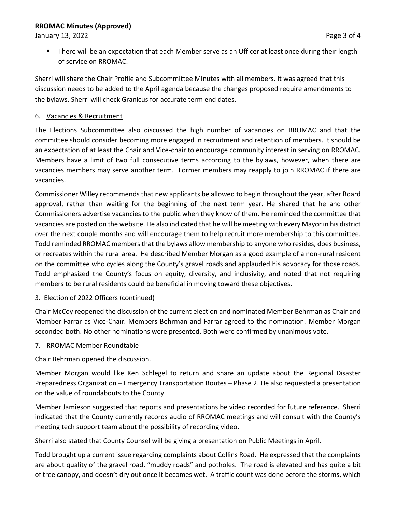■ There will be an expectation that each Member serve as an Officer at least once during their length of service on RROMAC.

Sherri will share the Chair Profile and Subcommittee Minutes with all members. It was agreed that this discussion needs to be added to the April agenda because the changes proposed require amendments to the bylaws. Sherri will check Granicus for accurate term end dates.

## 6. Vacancies & Recruitment

The Elections Subcommittee also discussed the high number of vacancies on RROMAC and that the committee should consider becoming more engaged in recruitment and retention of members. It should be an expectation of at least the Chair and Vice-chair to encourage community interest in serving on RROMAC. Members have a limit of two full consecutive terms according to the bylaws, however, when there are vacancies members may serve another term. Former members may reapply to join RROMAC if there are vacancies.

Commissioner Willey recommends that new applicants be allowed to begin throughout the year, after Board approval, rather than waiting for the beginning of the next term year. He shared that he and other Commissioners advertise vacancies to the public when they know of them. He reminded the committee that vacancies are posted on the website. He also indicated that he will be meeting with every Mayor in his district over the next couple months and will encourage them to help recruit more membership to this committee. Todd reminded RROMAC members that the bylaws allow membership to anyone who resides, does business, or recreates within the rural area. He described Member Morgan as a good example of a non-rural resident on the committee who cycles along the County's gravel roads and applauded his advocacy for those roads. Todd emphasized the County's focus on equity, diversity, and inclusivity, and noted that not requiring members to be rural residents could be beneficial in moving toward these objectives.

### 3. Election of 2022 Officers (continued)

Chair McCoy reopened the discussion of the current election and nominated Member Behrman as Chair and Member Farrar as Vice-Chair. Members Behrman and Farrar agreed to the nomination. Member Morgan seconded both. No other nominations were presented. Both were confirmed by unanimous vote.

### 7. RROMAC Member Roundtable

Chair Behrman opened the discussion.

Member Morgan would like Ken Schlegel to return and share an update about the Regional Disaster Preparedness Organization – Emergency Transportation Routes – Phase 2. He also requested a presentation on the value of roundabouts to the County.

Member Jamieson suggested that reports and presentations be video recorded for future reference. Sherri indicated that the County currently records audio of RROMAC meetings and will consult with the County's meeting tech support team about the possibility of recording video.

Sherri also stated that County Counsel will be giving a presentation on Public Meetings in April.

Todd brought up a current issue regarding complaints about Collins Road. He expressed that the complaints are about quality of the gravel road, "muddy roads" and potholes. The road is elevated and has quite a bit of tree canopy, and doesn't dry out once it becomes wet. A traffic count was done before the storms, which